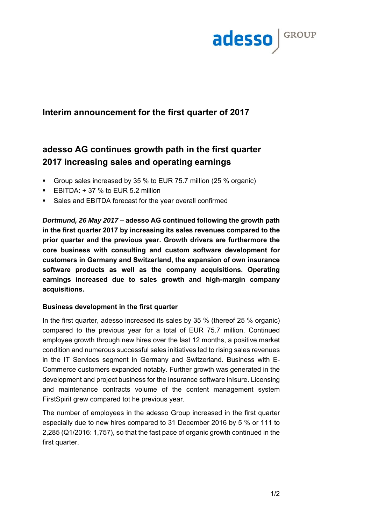

## **Interim announcement for the first quarter of 2017**

# **adesso AG continues growth path in the first quarter 2017 increasing sales and operating earnings**

- Group sales increased by 35 % to EUR 75.7 million (25 % organic)
- **EBITDA:**  $+37%$  **to EUR 5.2 million**
- Sales and EBITDA forecast for the year overall confirmed

*Dortmund, 26 May 2017* **– adesso AG continued following the growth path in the first quarter 2017 by increasing its sales revenues compared to the prior quarter and the previous year. Growth drivers are furthermore the core business with consulting and custom software development for customers in Germany and Switzerland, the expansion of own insurance software products as well as the company acquisitions. Operating earnings increased due to sales growth and high-margin company acquisitions.**

### **Business development in the first quarter**

In the first quarter, adesso increased its sales by 35 % (thereof 25 % organic) compared to the previous year for a total of EUR 75.7 million. Continued employee growth through new hires over the last 12 months, a positive market condition and numerous successful sales initiatives led to rising sales revenues in the IT Services segment in Germany and Switzerland. Business with E-Commerce customers expanded notably. Further growth was generated in the development and project business for the insurance software inIsure. Licensing and maintenance contracts volume of the content management system FirstSpirit grew compared tot he previous year.

The number of employees in the adesso Group increased in the first quarter especially due to new hires compared to 31 December 2016 by 5 % or 111 to 2,285 (Q1/2016: 1,757), so that the fast pace of organic growth continued in the first quarter.